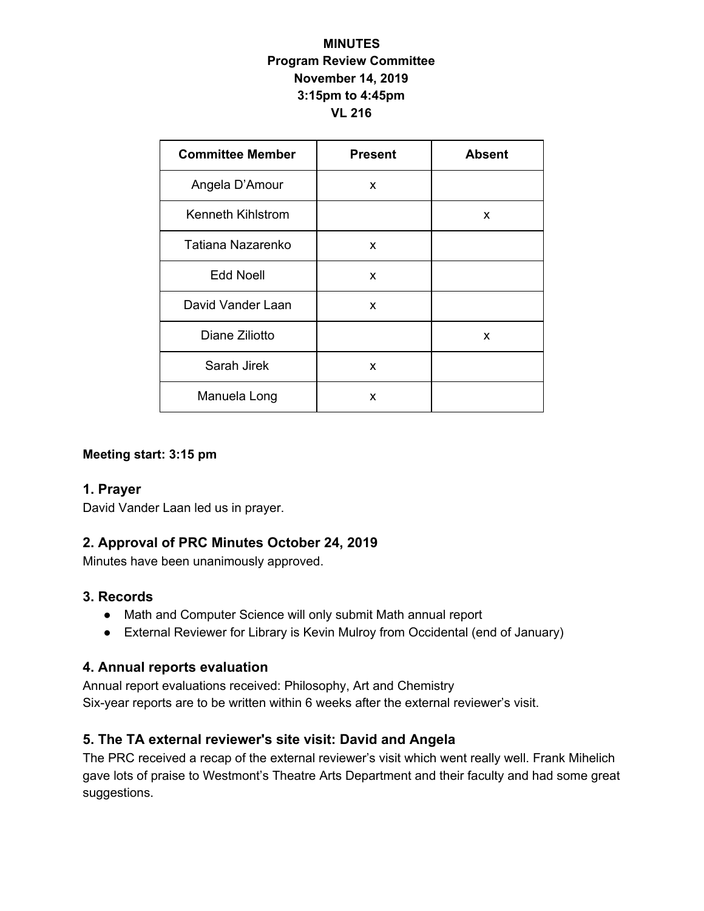### **MINUTES Program Review Committee November 14, 2019 3:15pm to 4:45pm VL 216**

| <b>Committee Member</b> | <b>Present</b> | <b>Absent</b> |
|-------------------------|----------------|---------------|
| Angela D'Amour          | x              |               |
| Kenneth Kihlstrom       |                | x             |
| Tatiana Nazarenko       | X              |               |
| <b>Edd Noell</b>        | $\mathsf{x}$   |               |
| David Vander Laan       | X              |               |
| Diane Ziliotto          |                | X             |
| Sarah Jirek             | X              |               |
| Manuela Long            | x              |               |

### **Meeting start: 3:15 pm**

### **1. Prayer**

David Vander Laan led us in prayer.

### **2. Approval of PRC Minutes October 24, 2019**

Minutes have been unanimously approved.

### **3. Records**

- Math and Computer Science will only submit Math annual report
- External Reviewer for Library is Kevin Mulroy from Occidental (end of January)

### **4. Annual reports evaluation**

Annual report evaluations received: Philosophy, Art and Chemistry Six-year reports are to be written within 6 weeks after the external reviewer's visit.

### **5. The TA external reviewer's site visit: David and Angela**

The PRC received a recap of the external reviewer's visit which went really well. Frank Mihelich gave lots of praise to Westmont's Theatre Arts Department and their faculty and had some great suggestions.